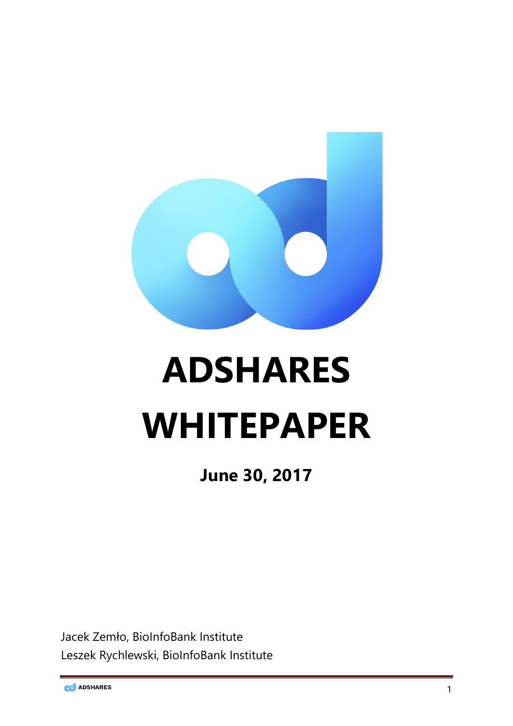

# **ADSHARES WHITEPAPER**

**June 30, 2017**

Jacek Zemło, BioInfoBank Institute Leszek Rychlewski, BioInfoBank Institute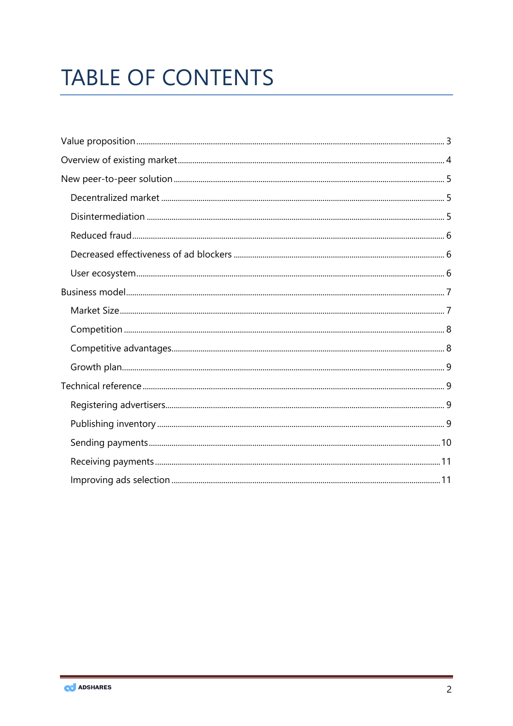# **TABLE OF CONTENTS**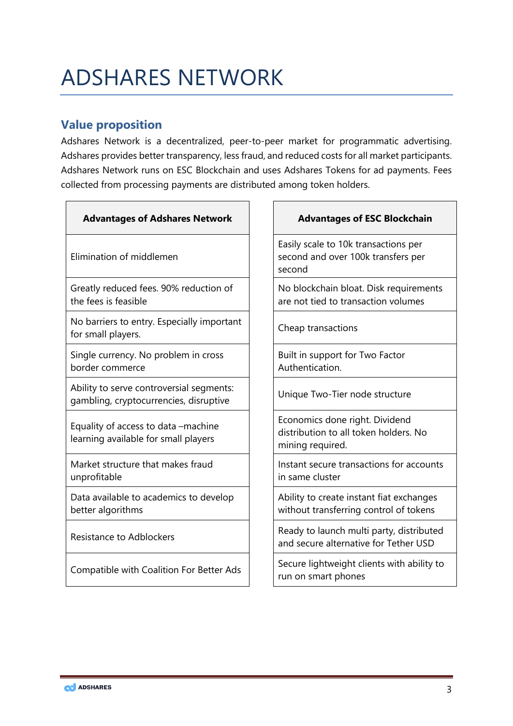# ADSHARES NETWORK

# <span id="page-2-0"></span>**Value proposition**

Adshares Network is a decentralized, peer-to-peer market for programmatic advertising. Adshares provides better transparency, less fraud, and reduced costs for all market participants. Adshares Network runs on ESC Blockchain and uses Adshares Tokens for ad payments. Fees collected from processing payments are distributed among token holders.

| <b>Advantages of Adshares Network</b>                                              |
|------------------------------------------------------------------------------------|
| Elimination of middlemen                                                           |
| Greatly reduced fees. 90% reduction of<br>the fees is feasible                     |
| No barriers to entry. Especially important<br>for small players.                   |
| Single currency. No problem in cross<br>border commerce                            |
| Ability to serve controversial segments:<br>gambling, cryptocurrencies, disruptive |
| Equality of access to data –machine<br>learning available for small players        |
| Market structure that makes fraud<br>unprofitable                                  |

Data available to academics to develop better algorithms

#### **Advantages of ESC Blockchain**

Easily scale to 10k transactions per second and over 100k transfers per second

No blockchain bloat. Disk requirements are not tied to transaction volumes

Cheap transactions

Built in support for Two Factor Authentication.

Unique Two-Tier node structure

Economics done right. Dividend distribution to all token holders. No mining required.

Instant secure transactions for accounts in same cluster

Ability to create instant fiat exchanges without transferring control of tokens

Ready to launch multi party, distributed<br>Resistance to Adblockers **Ready to launch multi party, distributed** and secure alternative for Tether USD

Compatible with Coalition For Better Ads  $\left|\right|$  Secure lightweight clients with ability to run on smart phones

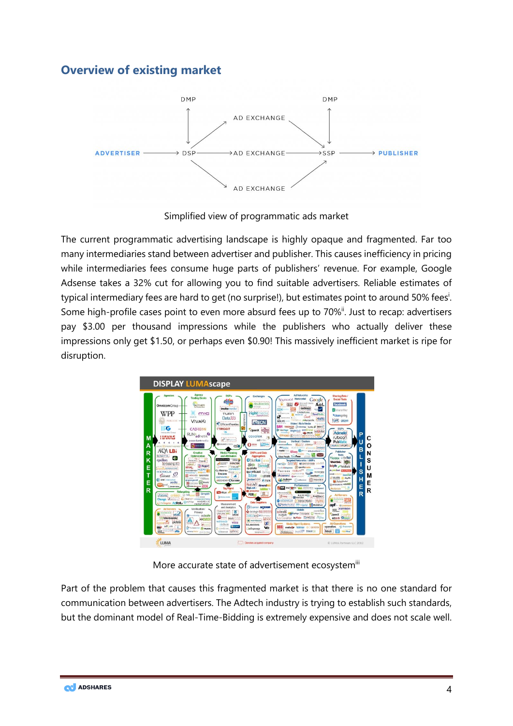# <span id="page-3-0"></span>**Overview of existing market**



Simplified view of programmatic ads market

The current programmatic advertising landscape is highly opaque and fragmented. Far too many intermediaries stand between advertiser and publisher. This causes inefficiency in pricing while intermediaries fees consume huge parts of publishers' revenue. For example, Google Adsense takes a 32% cut for allowing you to find suitable advertisers. Reliable estimates of typical intermediary fees are hard to get (no surprise!), but estimates point to around 50% fees<sup>i</sup>. Some high-profile cases point to even more absurd fees up to 70%<sup>ii</sup>. Just to recap: advertisers pay \$3.00 per thousand impressions while the publishers who actually deliver these impressions only get \$1.50, or perhaps even \$0.90! This massively inefficient market is ripe for disruption.



More accurate state of advertisement ecosystemiii

Part of the problem that causes this fragmented market is that there is no one standard for communication between advertisers. The Adtech industry is trying to establish such standards, but the dominant model of Real-Time-Bidding is extremely expensive and does not scale well.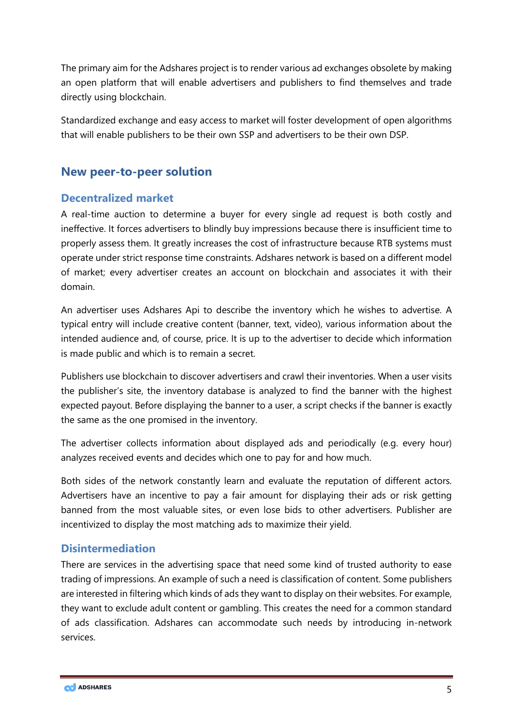The primary aim for the Adshares project is to render various ad exchanges obsolete by making an open platform that will enable advertisers and publishers to find themselves and trade directly using blockchain.

Standardized exchange and easy access to market will foster development of open algorithms that will enable publishers to be their own SSP and advertisers to be their own DSP.

# <span id="page-4-0"></span>**New peer-to-peer solution**

### <span id="page-4-1"></span>**Decentralized market**

A real-time auction to determine a buyer for every single ad request is both costly and ineffective. It forces advertisers to blindly buy impressions because there is insufficient time to properly assess them. It greatly increases the cost of infrastructure because RTB systems must operate under strict response time constraints. Adshares network is based on a different model of market; every advertiser creates an account on blockchain and associates it with their domain.

An advertiser uses Adshares Api to describe the inventory which he wishes to advertise. A typical entry will include creative content (banner, text, video), various information about the intended audience and, of course, price. It is up to the advertiser to decide which information is made public and which is to remain a secret.

Publishers use blockchain to discover advertisers and crawl their inventories. When a user visits the publisher's site, the inventory database is analyzed to find the banner with the highest expected payout. Before displaying the banner to a user, a script checks if the banner is exactly the same as the one promised in the inventory.

The advertiser collects information about displayed ads and periodically (e.g. every hour) analyzes received events and decides which one to pay for and how much.

Both sides of the network constantly learn and evaluate the reputation of different actors. Advertisers have an incentive to pay a fair amount for displaying their ads or risk getting banned from the most valuable sites, or even lose bids to other advertisers. Publisher are incentivized to display the most matching ads to maximize their yield.

# <span id="page-4-2"></span>**Disintermediation**

There are services in the advertising space that need some kind of trusted authority to ease trading of impressions. An example of such a need is classification of content. Some publishers are interested in filtering which kinds of ads they want to display on their websites. For example, they want to exclude adult content or gambling. This creates the need for a common standard of ads classification. Adshares can accommodate such needs by introducing in-network services.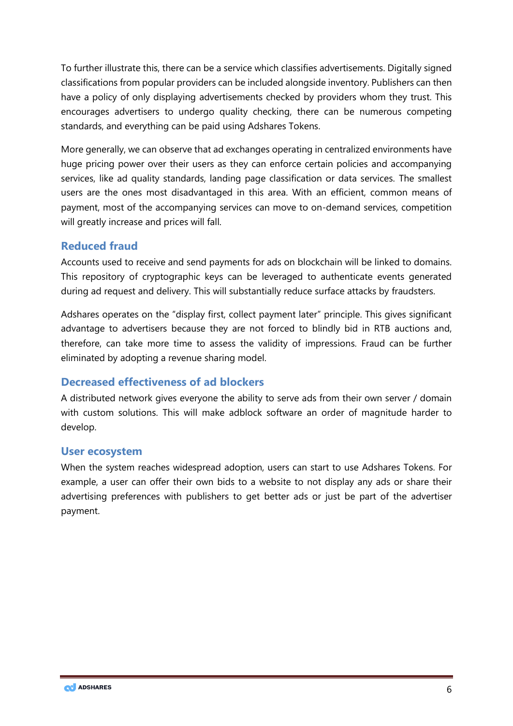To further illustrate this, there can be a service which classifies advertisements. Digitally signed classifications from popular providers can be included alongside inventory. Publishers can then have a policy of only displaying advertisements checked by providers whom they trust. This encourages advertisers to undergo quality checking, there can be numerous competing standards, and everything can be paid using Adshares Tokens.

More generally, we can observe that ad exchanges operating in centralized environments have huge pricing power over their users as they can enforce certain policies and accompanying services, like ad quality standards, landing page classification or data services. The smallest users are the ones most disadvantaged in this area. With an efficient, common means of payment, most of the accompanying services can move to on-demand services, competition will greatly increase and prices will fall.

# <span id="page-5-0"></span>**Reduced fraud**

Accounts used to receive and send payments for ads on blockchain will be linked to domains. This repository of cryptographic keys can be leveraged to authenticate events generated during ad request and delivery. This will substantially reduce surface attacks by fraudsters.

Adshares operates on the "display first, collect payment later" principle. This gives significant advantage to advertisers because they are not forced to blindly bid in RTB auctions and, therefore, can take more time to assess the validity of impressions. Fraud can be further eliminated by adopting a revenue sharing model.

# <span id="page-5-1"></span>**Decreased effectiveness of ad blockers**

A distributed network gives everyone the ability to serve ads from their own server / domain with custom solutions. This will make adblock software an order of magnitude harder to develop.

#### <span id="page-5-2"></span>**User ecosystem**

When the system reaches widespread adoption, users can start to use Adshares Tokens. For example, a user can offer their own bids to a website to not display any ads or share their advertising preferences with publishers to get better ads or just be part of the advertiser payment.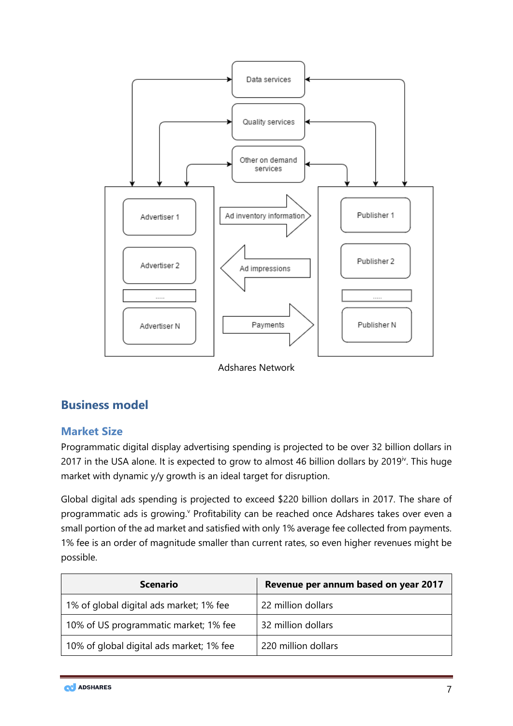

Adshares Network

# <span id="page-6-0"></span>**Business model**

# <span id="page-6-1"></span>**Market Size**

Programmatic digital display advertising spending is projected to be over 32 billion dollars in 2017 in the USA alone. It is expected to grow to almost 46 billion dollars by 2019<sup>iv</sup>. This huge market with dynamic y/y growth is an ideal target for disruption.

Global digital ads spending is projected to exceed \$220 billion dollars in 2017. The share of programmatic ads is growing.<sup>v</sup> Profitability can be reached once Adshares takes over even a small portion of the ad market and satisfied with only 1% average fee collected from payments. 1% fee is an order of magnitude smaller than current rates, so even higher revenues might be possible.

| <b>Scenario</b>                          | Revenue per annum based on year 2017 |
|------------------------------------------|--------------------------------------|
| 1% of global digital ads market; 1% fee  | 22 million dollars                   |
| 10% of US programmatic market; 1% fee    | 32 million dollars                   |
| 10% of global digital ads market; 1% fee | 220 million dollars                  |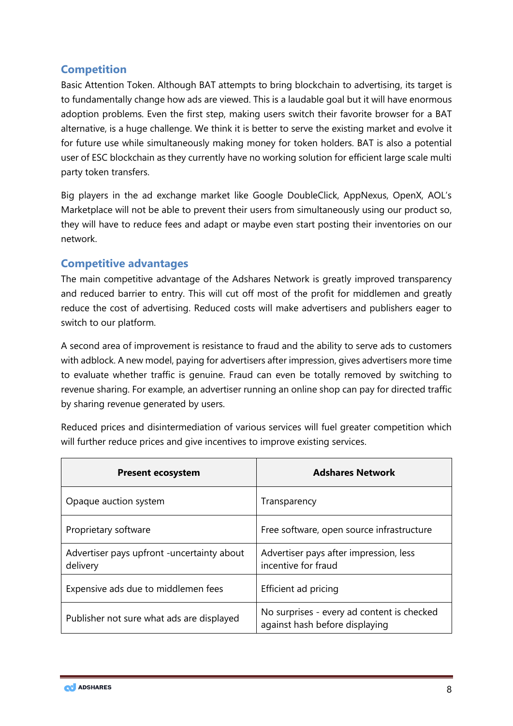# <span id="page-7-0"></span>**Competition**

Basic Attention Token. Although BAT attempts to bring blockchain to advertising, its target is to fundamentally change how ads are viewed. This is a laudable goal but it will have enormous adoption problems. Even the first step, making users switch their favorite browser for a BAT alternative, is a huge challenge. We think it is better to serve the existing market and evolve it for future use while simultaneously making money for token holders. BAT is also a potential user of ESC blockchain as they currently have no working solution for efficient large scale multi party token transfers.

Big players in the ad exchange market like Google DoubleClick, AppNexus, OpenX, AOL's Marketplace will not be able to prevent their users from simultaneously using our product so, they will have to reduce fees and adapt or maybe even start posting their inventories on our network.

# <span id="page-7-1"></span>**Competitive advantages**

The main competitive advantage of the Adshares Network is greatly improved transparency and reduced barrier to entry. This will cut off most of the profit for middlemen and greatly reduce the cost of advertising. Reduced costs will make advertisers and publishers eager to switch to our platform.

A second area of improvement is resistance to fraud and the ability to serve ads to customers with adblock. A new model, paying for advertisers after impression, gives advertisers more time to evaluate whether traffic is genuine. Fraud can even be totally removed by switching to revenue sharing. For example, an advertiser running an online shop can pay for directed traffic by sharing revenue generated by users.

Reduced prices and disintermediation of various services will fuel greater competition which will further reduce prices and give incentives to improve existing services.

| <b>Present ecosystem</b>                                | <b>Adshares Network</b>                                                      |
|---------------------------------------------------------|------------------------------------------------------------------------------|
| Opaque auction system                                   | Transparency                                                                 |
| Proprietary software                                    | Free software, open source infrastructure                                    |
| Advertiser pays upfront - uncertainty about<br>delivery | Advertiser pays after impression, less<br>incentive for fraud                |
| Expensive ads due to middlemen fees                     | Efficient ad pricing                                                         |
| Publisher not sure what ads are displayed               | No surprises - every ad content is checked<br>against hash before displaying |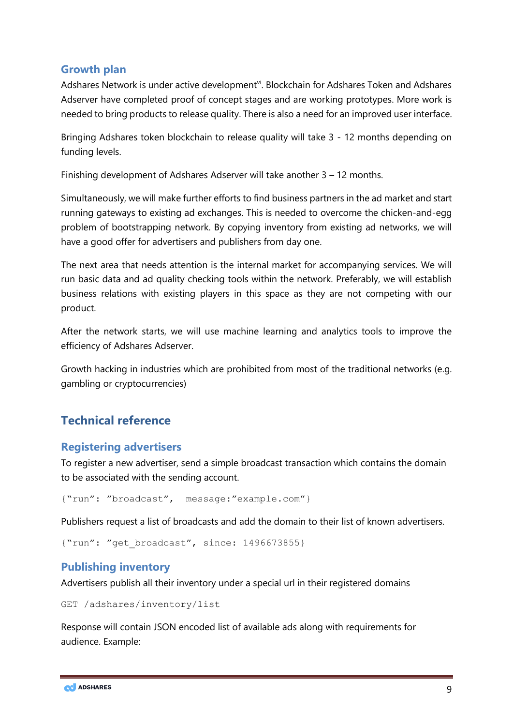### <span id="page-8-0"></span>**Growth plan**

Adshares Network is under active development<sup>vi</sup>. Blockchain for Adshares Token and Adshares Adserver have completed proof of concept stages and are working prototypes. More work is needed to bring products to release quality. There is also a need for an improved user interface.

Bringing Adshares token blockchain to release quality will take 3 - 12 months depending on funding levels.

Finishing development of Adshares Adserver will take another 3 – 12 months.

Simultaneously, we will make further efforts to find business partners in the ad market and start running gateways to existing ad exchanges. This is needed to overcome the chicken-and-egg problem of bootstrapping network. By copying inventory from existing ad networks, we will have a good offer for advertisers and publishers from day one.

The next area that needs attention is the internal market for accompanying services. We will run basic data and ad quality checking tools within the network. Preferably, we will establish business relations with existing players in this space as they are not competing with our product.

After the network starts, we will use machine learning and analytics tools to improve the efficiency of Adshares Adserver.

Growth hacking in industries which are prohibited from most of the traditional networks (e.g. gambling or cryptocurrencies)

# <span id="page-8-1"></span>**Technical reference**

#### <span id="page-8-2"></span>**Registering advertisers**

To register a new advertiser, send a simple broadcast transaction which contains the domain to be associated with the sending account.

```
{"run": "broadcast", message:"example.com"}
```
Publishers request a list of broadcasts and add the domain to their list of known advertisers.

```
{"run": "get_broadcast", since: 1496673855}
```
# <span id="page-8-3"></span>**Publishing inventory**

Advertisers publish all their inventory under a special url in their registered domains

GET /adshares/inventory/list

Response will contain JSON encoded list of available ads along with requirements for audience. Example:

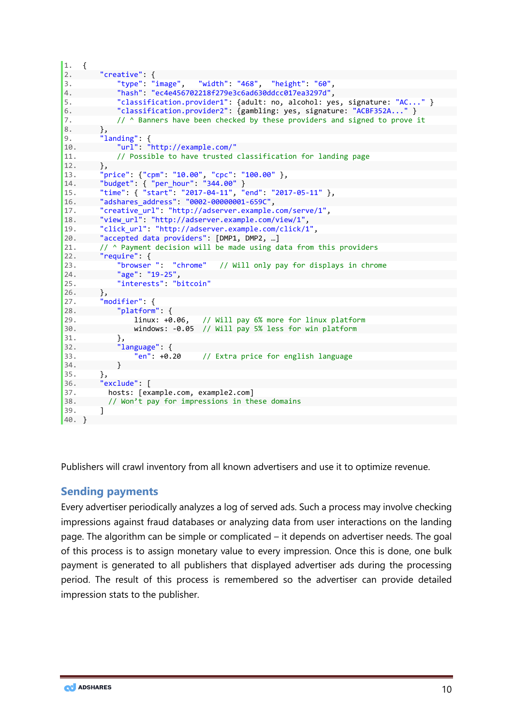```
1. { 
2. "creative": { 
3. "type": "image", "width": "468", "height": "60", 
4. "hash": "ec4e456702218f279e3c6ad630ddcc017ea3297d", 
5. "classification.provider1": {adult: no, alcohol: yes, signature: "AC..." } 
6. "classification.provider2": {gambling: yes, signature: "ACBF352A..." } 
7. // ^ Banners have been checked by these providers and signed to prove it
\begin{matrix} 8. & 3. \\ 9. & 1 \end{matrix}9. "landing": { 
             10. "url": "http://example.com/" 
11. // Possible to have trusted classification for landing page 
12. }, 
13. "price": {"cpm": "10.00", "cpc": "100.00" }, 
14. "budget": { "per_hour": "344.00" } 
15. "time": { "start": "2017-04-11", "end": "2017-05-11" }, 
16. "adshares_address": "0002-00000001-659C",<br>17. "creative url": "http://adserver.example.
         17. "creative_url": "http://adserver.example.com/serve/1", 
18. "view_url": "http://adserver.example.com/view/1", 
19. "click_url": "http://adserver.example.com/click/1", 
         "accepted data providers": [DMP1, DMP2, ...]
21. // ^ Payment decision will be made using data from this providers 
22. "require": {<br>23. "browser": "chrome"
23. "browser ": "chrome" // Will only pay for displays in chrome 24.
             "age": "19-25",
25. "interests": "bitcoin" 
26. }, 
27. "modifier": { 
28. "platform": { 
29. linux: +0.06, // Will pay 6% more for linux platform 
30. windows: -0.05 // Will pay 5% less for win platform 
31. },
32. "language": { 
33. \overline{\phantom{a}^{6}} \overline{\phantom{a}^{6}} \overline{\phantom{a}^{7}} \overline{\phantom{a}^{8}} +0.20 // Extra price for english language
34. } 
35. },<br>36. "e
36. "exclude": [ 
37. hosts: [example.com, example2.com]<br>38. // Won't pay for impressions in th
         // Won't pay for impressions in these domains<br>]
39. ] 
40. \}
```
Publishers will crawl inventory from all known advertisers and use it to optimize revenue.

#### <span id="page-9-0"></span>**Sending payments**

Every advertiser periodically analyzes a log of served ads. Such a process may involve checking impressions against fraud databases or analyzing data from user interactions on the landing page. The algorithm can be simple or complicated – it depends on advertiser needs. The goal of this process is to assign monetary value to every impression. Once this is done, one bulk payment is generated to all publishers that displayed advertiser ads during the processing period. The result of this process is remembered so the advertiser can provide detailed impression stats to the publisher.